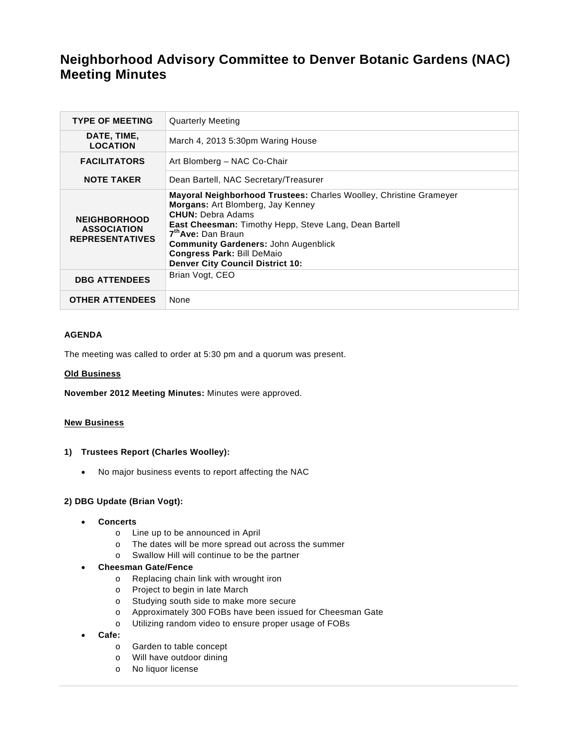# **Neighborhood Advisory Committee to Denver Botanic Gardens (NAC) Meeting Minutes**

| <b>TYPE OF MEETING</b>                                              | <b>Quarterly Meeting</b>                                                                                                                                                                                                                                                                                                                                             |
|---------------------------------------------------------------------|----------------------------------------------------------------------------------------------------------------------------------------------------------------------------------------------------------------------------------------------------------------------------------------------------------------------------------------------------------------------|
| DATE, TIME,<br><b>LOCATION</b>                                      | March 4, 2013 5:30pm Waring House                                                                                                                                                                                                                                                                                                                                    |
| <b>FACILITATORS</b>                                                 | Art Blomberg - NAC Co-Chair                                                                                                                                                                                                                                                                                                                                          |
| <b>NOTE TAKER</b>                                                   | Dean Bartell, NAC Secretary/Treasurer                                                                                                                                                                                                                                                                                                                                |
| <b>NEIGHBORHOOD</b><br><b>ASSOCIATION</b><br><b>REPRESENTATIVES</b> | Mayoral Neighborhood Trustees: Charles Woolley, Christine Grameyer<br>Morgans: Art Blomberg, Jay Kenney<br><b>CHUN:</b> Debra Adams<br><b>East Cheesman:</b> Timothy Hepp, Steve Lang, Dean Bartell<br>7 <sup>th</sup> Ave: Dan Braun<br><b>Community Gardeners: John Augenblick</b><br><b>Congress Park: Bill DeMaio</b><br><b>Denver City Council District 10:</b> |
| <b>DBG ATTENDEES</b>                                                | Brian Vogt, CEO                                                                                                                                                                                                                                                                                                                                                      |
| <b>OTHER ATTENDEES</b>                                              | None                                                                                                                                                                                                                                                                                                                                                                 |

#### **AGENDA**

The meeting was called to order at 5:30 pm and a quorum was present.

#### **Old Business**

**November 2012 Meeting Minutes:** Minutes were approved.

#### **New Business**

- **1) Trustees Report (Charles Woolley):** 
	- No major business events to report affecting the NAC

#### **2) DBG Update (Brian Vogt):**

- **Concerts** 
	- o Line up to be announced in April
	- o The dates will be more spread out across the summer
	- o Swallow Hill will continue to be the partner

# **Cheesman Gate/Fence**

- o Replacing chain link with wrought iron
- o Project to begin in late March
- o Studying south side to make more secure
- o Approximately 300 FOBs have been issued for Cheesman Gate
- o Utilizing random video to ensure proper usage of FOBs
- **Cafe:**
	- o Garden to table concept
	- o Will have outdoor dining
	- o No liquor license